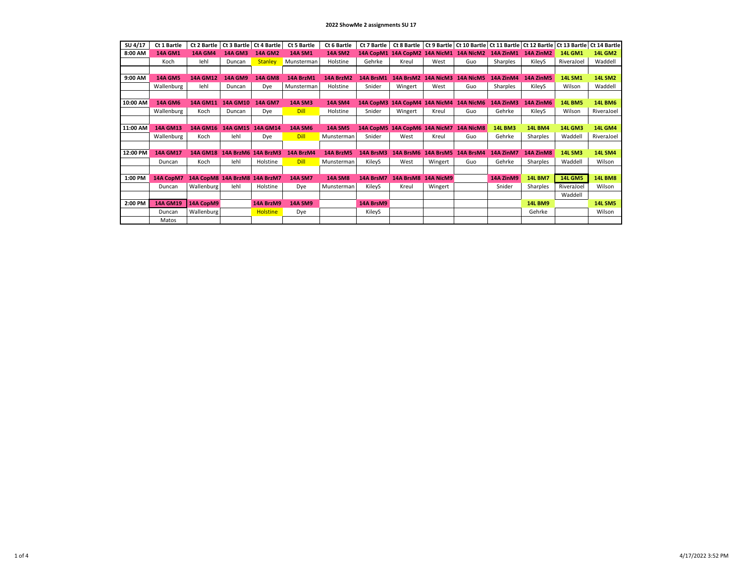| SU 4/17  | Ct 1 Bartle     | Ct 2 Bartle                   |                   | Ct 3 Bartle   Ct 4 Bartle | Ct 5 Bartle    | Ct 6 Bartle    | Ct 7 Bartle |                                         |           |                                         |                |                | Ct 8 Bartle   Ct 9 Bartle   Ct 10 Bartle   Ct 11 Bartle   Ct 12 Bartle   Ct 13 Bartle   Ct 14 Bartle |                |
|----------|-----------------|-------------------------------|-------------------|---------------------------|----------------|----------------|-------------|-----------------------------------------|-----------|-----------------------------------------|----------------|----------------|------------------------------------------------------------------------------------------------------|----------------|
| 8:00 AM  | <b>14A GM1</b>  | <b>14A GM4</b>                | <b>14A GM3</b>    | <b>14A GM2</b>            | <b>14A SM1</b> | <b>14A SM2</b> |             |                                         |           | 14A CopM1 14A CopM2 14A NicM1 14A NicM2 | 14A ZinM1      | 14A ZinM2      | <b>14L GM1</b>                                                                                       | <b>14L GM2</b> |
|          | Koch            | lehl                          | Duncan            | <b>Stanley</b>            | Munsterman     | Holstine       | Gehrke      | Kreul                                   | West      | Guo                                     | Sharples       | KileyS         | RiveraJoel                                                                                           | Waddell        |
|          |                 |                               |                   |                           |                |                |             |                                         |           |                                         |                |                |                                                                                                      |                |
| 9:00 AM  | <b>14A GM5</b>  | <b>14A GM12</b>               | <b>14A GM9</b>    | <b>14A GM8</b>            | 14A BrzM1      | 14A BrzM2      | 14A BrsM1   | 14A BrsM2                               | 14A NicM3 | <b>14A NicM5</b>                        | 14A ZinM4      | 14A ZinM5      | <b>14L SM1</b>                                                                                       | <b>14L SM2</b> |
|          | Wallenburg      | lehl                          | Duncan            | Dye                       | Munsterman     | Holstine       | Snider      | Wingert                                 | West      | Guo                                     | Sharples       | KileyS         | Wilson                                                                                               | Waddell        |
|          |                 |                               |                   |                           |                |                |             |                                         |           |                                         |                |                |                                                                                                      |                |
| 10:00 AM | <b>14A GM6</b>  | <b>14A GM11</b>               | <b>14A GM10</b>   | <b>14A GM7</b>            | <b>14A SM3</b> | <b>14A SM4</b> |             |                                         |           | 14A CopM3 14A CopM4 14A NicM4 14A NicM6 | 14A ZinM3      | 14A ZinM6      | <b>14L BM5</b>                                                                                       | <b>14L BM6</b> |
|          | Wallenburg      | Koch                          | Duncan            | Dye                       | <b>Dill</b>    | Holstine       | Snider      | Wingert                                 | Kreul     | Guo                                     | Gehrke         | KileyS         | Wilson                                                                                               | RiveraJoel     |
|          |                 |                               |                   |                           |                |                |             |                                         |           |                                         |                |                |                                                                                                      |                |
| 11:00 AM | <b>14A GM13</b> | <b>14A GM16</b>               | 14A GM15 14A GM14 |                           | <b>14A SM6</b> | <b>14A SM5</b> |             | 14A CopM5 14A CopM6 14A NicM7 14A NicM8 |           |                                         | <b>14L BM3</b> | <b>14L BM4</b> | <b>14L GM3</b>                                                                                       | <b>14L GM4</b> |
|          | Wallenburg      | Koch                          | lehl              | Dye                       | <b>Dill</b>    | Munsterman     | Snider      | West                                    | Kreul     | Guo                                     | Gehrke         | Sharples       | Waddell                                                                                              | RiveraJoel     |
|          |                 |                               |                   |                           |                |                |             |                                         |           |                                         |                |                |                                                                                                      |                |
| 12:00 PM | <b>14A GM17</b> | <b>14A GM18</b>               |                   | 14A BrzM6 14A BrzM3       | 14A BrzM4      | 14A BrzM5      | 14A BrsM3   | 14A BrsM6                               | 14A BrsM5 | 14A BrsM4                               | 14A ZinM7      | 14A ZinM8      | <b>14L SM3</b>                                                                                       | <b>14L SM4</b> |
|          | Duncan          | Koch                          | lehl              | Holstine                  | <b>Dill</b>    | Munsterman     | KileyS      | West                                    | Wingert   | Guo                                     | Gehrke         | Sharples       | Waddell                                                                                              | Wilson         |
|          |                 |                               |                   |                           |                |                |             |                                         |           |                                         |                |                |                                                                                                      |                |
| 1:00 PM  | 14A CopM7       | 14A CopM8 14A BrzM8 14A BrzM7 |                   |                           | <b>14A SM7</b> | <b>14A SM8</b> | 14A BrsM7   | 14A BrsM8                               | 14A NicM9 |                                         | 14A ZinM9      | <b>14L BM7</b> | <b>14L GM5</b>                                                                                       | <b>14L BM8</b> |
|          | Duncan          | Wallenburg                    | lehl              | Holstine                  | Dye            | Munsterman     | KileyS      | Kreul                                   | Wingert   |                                         | Snider         | Sharples       | RiveraJoel                                                                                           | Wilson         |
|          |                 |                               |                   |                           |                |                |             |                                         |           |                                         |                |                | Waddell                                                                                              |                |
| 2:00 PM  | <b>14A GM19</b> | 14A CopM9                     |                   | 14A BrzM9                 | <b>14A SM9</b> |                | 14A BrsM9   |                                         |           |                                         |                | <b>14L BM9</b> |                                                                                                      | <b>14L SM5</b> |
|          | Duncan          | Wallenburg                    |                   | <b>Holstine</b>           | Dye            |                | KileyS      |                                         |           |                                         |                | Gehrke         |                                                                                                      | Wilson         |
|          | Matos           |                               |                   |                           |                |                |             |                                         |           |                                         |                |                |                                                                                                      |                |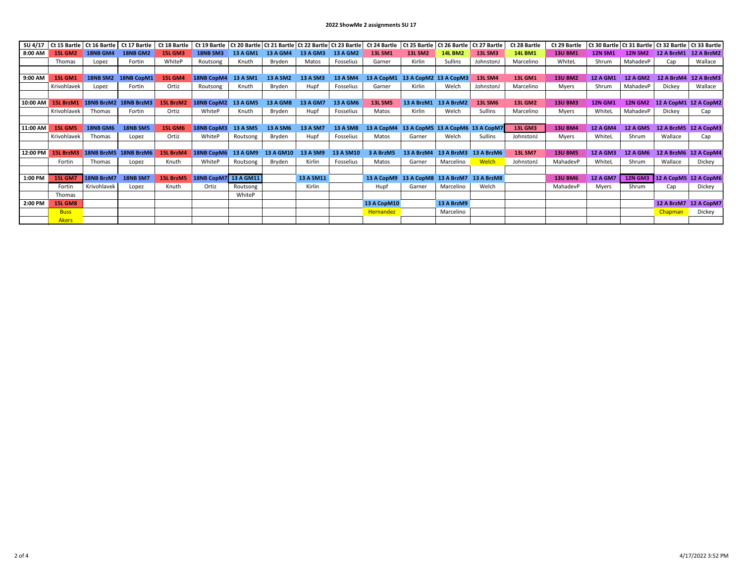## **2022 ShowMe 2 assignments SU 17**

| SU 4/17  | Ct 15 Bartle   |                 | Ct 16 Bartle   Ct 17 Bartle | Ct 18 Bartle   | Ct 19 Bartle   Ct 20 Bartle   Ct 21 Bartle   Ct 22 Bartle   Ct 23 Bartle |          |                 |                 |                 | Ct 24 Bartle   Ct 25 Bartle                 |                |                | Ct 26 Bartle   Ct 27 Bartle | Ct 28 Bartle   | Ct 29 Bartle   |                 |                 |            | Ct 30 Bartle   Ct 31 Bartle   Ct 32 Bartle   Ct 33 Bartle |
|----------|----------------|-----------------|-----------------------------|----------------|--------------------------------------------------------------------------|----------|-----------------|-----------------|-----------------|---------------------------------------------|----------------|----------------|-----------------------------|----------------|----------------|-----------------|-----------------|------------|-----------------------------------------------------------|
| 8:00 AM  | <b>15L GM2</b> | <b>18NB GM4</b> | 18NB GM2                    | <b>15L GM3</b> | <b>18NB SM3</b>                                                          | 13 A GM1 | <b>13 A GM4</b> | 13 A GM3        | <b>13 A GM2</b> | <b>13L SM1</b>                              | <b>13L SM2</b> | <b>14L BM2</b> | <b>13L SM3</b>              | <b>14L BM1</b> | <b>13U BM1</b> | <b>12N SM1</b>  | <b>12N SM2</b>  | 12 A BrzM1 | 12 A BrzM2                                                |
|          | Thomas         | Lopez           | Fortin                      | WhiteP         | Routsong                                                                 | Knuth    | Bryden          | Matos           | Fosselius       | Garner                                      | Kirlin         | <b>Sullins</b> | JohnstonJ                   | Marcelino      | WhiteL         | Shrum           | MahadevP        | Cap        | Wallace                                                   |
|          |                |                 |                             |                |                                                                          |          |                 |                 |                 |                                             |                |                |                             |                |                |                 |                 |            |                                                           |
| 9:00 AM  | <b>15L GM1</b> | <b>18NB SM2</b> | 18NB CopM1                  | <b>15L GM4</b> | 18NB CopM4                                                               | 13 A SM1 | 13 A SM2        | 13 A SM3        | <b>13 A SM4</b> | 13 A CopM1 13 A CopM2 13 A CopM3            |                |                | <b>13L SM4</b>              | <b>13L GM1</b> | <b>13U BM2</b> | <b>12 A GM1</b> | <b>12 A GM2</b> | 12 A BrzM4 | 12 A BrzM3                                                |
|          | Krivohlavek    | Lopez           | Fortin                      | Ortiz          | Routsong                                                                 | Knuth    | Bryden          | Hupf            | Fosselius       | Garner                                      | Kirlin         | Welch          | JohnstonJ                   | Marcelino      | Myers          | Shrum           | MahadevP        | Dickey     | Wallace                                                   |
|          |                |                 |                             |                |                                                                          |          |                 |                 |                 |                                             |                |                |                             |                |                |                 |                 |            |                                                           |
| 10:00 AM | 15L BrzM1      |                 | 18NB BrzM2 18NB BrzM3       | 15L BrzM2      | 18NB CopM2                                                               | 13 A GM5 | <b>13 A GM8</b> | <b>13 A GM7</b> | <b>13 A GM6</b> | <b>13L SM5</b>                              | 13 A BrzM1     | 13 A BrzM2     | <b>13L SM6</b>              | <b>13L GM2</b> | <b>13U BM3</b> | <b>12N GM1</b>  | <b>12N GM2</b>  |            | 12 A CopM1 12 A CopM2                                     |
|          | Krivohlavek    | Thomas          | Fortin                      | Ortiz          | WhiteP                                                                   | Knuth    | Bryden          | Hupf            | Fosselius       | Matos                                       | Kirlin         | Welch          | Sullins                     | Marcelino      | Myers          | WhiteL          | MahadevP        | Dickey     | Cap                                                       |
|          |                |                 |                             |                |                                                                          |          |                 |                 |                 |                                             |                |                |                             |                |                |                 |                 |            |                                                           |
| 11:00 AM | <b>15L GM5</b> | <b>18NB GM6</b> | 18NB SM5                    | <b>15L GM6</b> | 18NB CopM3                                                               | 13 A SM5 | 13 A SM6        | <b>13 A SM7</b> | <b>13 A SM8</b> | 13 A CopM4 13 A CopM5 13 A CopM6 13 A CopM7 |                |                |                             | <b>13L GM3</b> | <b>13U BM4</b> | <b>12 A GM4</b> | <b>12 A GM5</b> |            | 12 A BrzM5 12 A CopM3                                     |
|          | Krivohlavek    | Thomas          | Lopez                       | Ortiz          | WhiteP                                                                   | Routsong | Bryden          | Hupf            | Fosselius       | Matos                                       | Garner         | Welch          | Sullins                     | JohnstonJ      | Myers          | WhiteL          | Shrum           | Wallace    | Cap                                                       |
|          |                |                 |                             |                |                                                                          |          |                 |                 |                 |                                             |                |                |                             |                |                |                 |                 |            |                                                           |
| 12:00 PM | 15L BrzM3      |                 | 18NB BrzM5 18NB BrzM6       | 15L BrzM4      | 18NB CopM6 13 A GM9                                                      |          | 13 A GM10       | 13 A SM9        | 13 A SM10       | 3 A BrzM5                                   | 13 A BrzM4     | 13 A BrzM3     | 13 A BrzM6                  | <b>13L SM7</b> | <b>13U BM5</b> | <b>12 A GM3</b> | 12 A GM6        |            | 12 A BrzM6 12 A CopM4                                     |
|          | Fortin         | Thomas          | Lopez                       | Knuth          | WhiteP                                                                   | Routsong | Bryden          | Kirlin          | Fosselius       | Matos                                       | Garner         | Marcelino      | Welch                       | JohnstonJ      | MahadevP       | WhiteL          | Shrum           | Wallace    | Dickey                                                    |
|          |                |                 |                             |                |                                                                          |          |                 |                 |                 |                                             |                |                |                             |                |                |                 |                 |            |                                                           |
| 1:00 PM  | <b>15L GM7</b> | 18NB BrzM7      | <b>18NB SM7</b>             | 15L BrzM5      | 18NB CopM7 13 A GM11                                                     |          |                 | 13 A SM11       |                 | 13 A CopM9 13 A CopM8 13 A BrzM7            |                |                | 13 A BrzM8                  |                | <b>13U BM6</b> | <b>12 A GM7</b> | <b>12N GM3</b>  |            | 12 A CopM5 12 A CopM6                                     |
|          | Fortin         | Krivohlavek     | Lopez                       | Knuth          | Ortiz                                                                    | Routsong |                 | Kirlin          |                 | Hupf                                        | Garner         | Marcelino      | Welch                       |                | MahadevP       | <b>Mvers</b>    | Shrum           | Cap        | Dickey                                                    |
|          | Thomas         |                 |                             |                |                                                                          | WhiteP   |                 |                 |                 |                                             |                |                |                             |                |                |                 |                 |            |                                                           |
| 2:00 PM  | <b>15L GM8</b> |                 |                             |                |                                                                          |          |                 |                 |                 | 13 A CopM10                                 |                | 13 A BrzM9     |                             |                |                |                 |                 |            | 12 A BrzM7 12 A CopM7                                     |
|          | <b>Buss</b>    |                 |                             |                |                                                                          |          |                 |                 |                 | <b>Hernandez</b>                            |                | Marcelino      |                             |                |                |                 |                 | Chapman    | Dickey                                                    |
|          | <b>Akers</b>   |                 |                             |                |                                                                          |          |                 |                 |                 |                                             |                |                |                             |                |                |                 |                 |            |                                                           |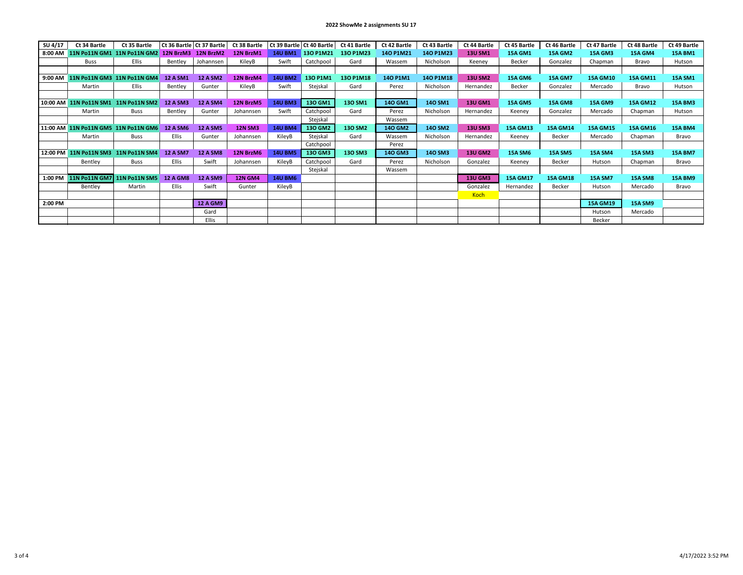## **2022 ShowMe 2 assignments SU 17**

| SU 4/17  | Ct 34 Bartle                         | Ct 35 Bartle                                    |                 | Ct 36 Bartle   Ct 37 Bartle | Ct 38 Bartle   |                | Ct 39 Bartle   Ct 40 Bartle | Ct 41 Bartle | Ct 42 Bartle | Ct 43 Bartle | Ct 44 Bartle   | Ct 45 Bartle    | Ct 46 Bartle    | Ct 47 Bartle    | Ct 48 Bartle    | Ct 49 Bartle   |
|----------|--------------------------------------|-------------------------------------------------|-----------------|-----------------------------|----------------|----------------|-----------------------------|--------------|--------------|--------------|----------------|-----------------|-----------------|-----------------|-----------------|----------------|
| 8:00 AM  |                                      | 11N Po11N GM1 11N Po11N GM2 12N BrzM3 12N BrzM2 |                 |                             | 12N BrzM1      | <b>14U BM1</b> | 130 P1M21                   | 130 P1M23    | 140 P1M21    | 140 P1M23    | <b>13U SM1</b> | <b>15A GM1</b>  | <b>15A GM2</b>  | <b>15A GM3</b>  | <b>15A GM4</b>  | <b>15A BM1</b> |
|          | Buss                                 | <b>Ellis</b>                                    | Bentley         | Johannsen                   | KileyB         | Swift          | Catchpool                   | Gard         | Wassem       | Nicholson    | Keenev         | Becker          | Gonzalez        | Chapman         | Bravo           | Hutson         |
|          |                                      |                                                 |                 |                             |                |                |                             |              |              |              |                |                 |                 |                 |                 |                |
| 9:00 AM  | 11N Po11N GM3 11N Po11N GM4          |                                                 | <b>12 A SM1</b> | 12 A SM2                    | 12N BrzM4      | <b>14U BM2</b> | 130 P1M1                    | 130 P1M18    | 140 P1M1     | 140 P1M18    | <b>13U SM2</b> | <b>15A GM6</b>  | <b>15A GM7</b>  | <b>15A GM10</b> | <b>15A GM11</b> | <b>15A SM1</b> |
|          | Martin                               | <b>Ellis</b>                                    | Bentley         | Gunter                      | KileyB         | Swift          | Stejskal                    | Gard         | Perez        | Nicholson    | Hernandez      | Becker          | Gonzalez        | Mercado         | Bravo           | Hutson         |
|          |                                      |                                                 |                 |                             |                |                |                             |              |              |              |                |                 |                 |                 |                 |                |
| 10:00 AM | 11N Po11N SM1 11N Po11N SM2          |                                                 | <b>12 A SM3</b> | <b>12 A SM4</b>             | 12N BrzM5      | <b>14U BM3</b> | 130 GM1                     | 130 SM1      | 140 GM1      | 140 SM1      | <b>13U GM1</b> | <b>15A GM5</b>  | <b>15A GM8</b>  | <b>15A GM9</b>  | <b>15A GM12</b> | <b>15A BM3</b> |
|          | Martin                               | <b>Buss</b>                                     | Bentley         | Gunter                      | Johannsen      | Swift          | Catchpool                   | Gard         | Perez        | Nicholson    | Hernandez      | Keenev          | Gonzalez        | Mercado         | Chapman         | Hutson         |
|          |                                      |                                                 |                 |                             |                |                | Stejskal                    |              | Wassem       |              |                |                 |                 |                 |                 |                |
|          | 11:00 AM 11N Po11N GM5 11N Po11N GM6 |                                                 | <b>12 A SM6</b> | <b>12 A SM5</b>             | <b>12N SM3</b> | <b>14U BM4</b> | 130 GM2                     | 130 SM2      | 140 GM2      | 140 SM2      | <b>13U SM3</b> | <b>15A GM13</b> | <b>15A GM14</b> | <b>15A GM15</b> | <b>15A GM16</b> | <b>15A BM4</b> |
|          | Martin                               | <b>Buss</b>                                     | <b>Ellis</b>    | Gunter                      | Johannsen      | KileyB         | Stejskal                    | Gard         | Wassem       | Nicholson    | Hernandez      | Keenev          | Becker          | Mercado         | Chapman         | Bravo          |
|          |                                      |                                                 |                 |                             |                |                | Catchpool                   |              | Perez        |              |                |                 |                 |                 |                 |                |
|          | 12:00 PM 11N Po11N SM3 11N Po11N SM4 |                                                 | 12 A SM7        | <b>12 A SM8</b>             | 12N BrzM6      | <b>14U BM5</b> | 130 GM3                     | 130 SM3      | 140 GM3      | 140 SM3      | <b>13U GM2</b> | <b>15A SM6</b>  | <b>15A SM5</b>  | <b>15A SM4</b>  | <b>15A SM3</b>  | <b>15A BM7</b> |
|          | Bentley                              | <b>Buss</b>                                     | <b>Ellis</b>    | Swift                       | Johannsen      | KileyB         | Catchpool                   | Gard         | Perez        | Nicholson    | Gonzalez       | Keenev          | Becker          | Hutson          | Chapman         | Bravo          |
|          |                                      |                                                 |                 |                             |                |                | Stejskal                    |              | Wassem       |              |                |                 |                 |                 |                 |                |
| 1:00 PM  | 11N Po11N GM7 11N Po11N SM5          |                                                 | <b>12 A GM8</b> | <b>12 A SM9</b>             | <b>12N GM4</b> | <b>14U BM6</b> |                             |              |              |              | <b>13U GM3</b> | 15A GM17        | <b>15A GM18</b> | <b>15A SM7</b>  | <b>15A SM8</b>  | <b>15A BM9</b> |
|          | Bentley                              | Martin                                          | <b>Ellis</b>    | Swift                       | Gunter         | KileyB         |                             |              |              |              | Gonzalez       | Hernandez       | Becker          | Hutson          | Mercado         | Bravo          |
|          |                                      |                                                 |                 |                             |                |                |                             |              |              |              | Koch           |                 |                 |                 |                 |                |
| 2:00 PM  |                                      |                                                 |                 | <b>12 A GM9</b>             |                |                |                             |              |              |              |                |                 |                 | <b>15A GM19</b> | <b>15A SM9</b>  |                |
|          |                                      |                                                 |                 | Gard                        |                |                |                             |              |              |              |                |                 |                 | Hutson          | Mercado         |                |
|          |                                      |                                                 |                 | <b>Ellis</b>                |                |                |                             |              |              |              |                |                 |                 | Becker          |                 |                |